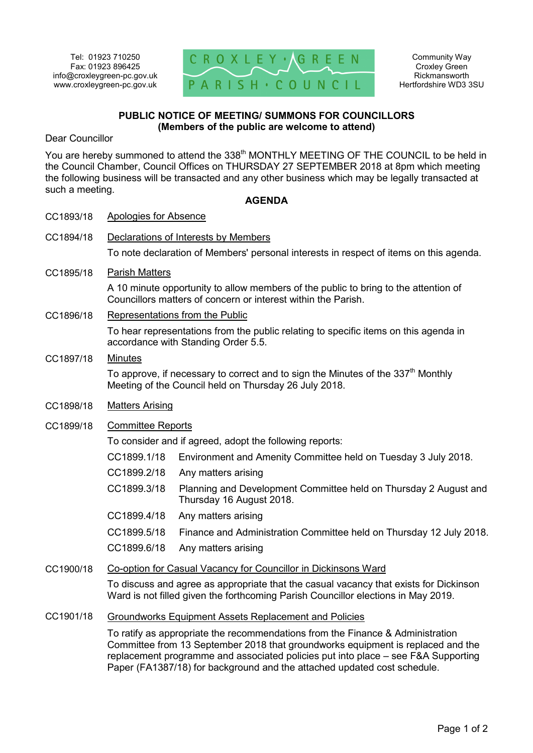

## **PUBLIC NOTICE OF MEETING/ SUMMONS FOR COUNCILLORS (Members of the public are welcome to attend)**

Dear Councillor

You are hereby summoned to attend the 338<sup>th</sup> MONTHLY MEETING OF THE COUNCIL to be held in the Council Chamber, Council Offices on THURSDAY 27 SEPTEMBER 2018 at 8pm which meeting the following business will be transacted and any other business which may be legally transacted at such a meeting.

## **AGENDA**

| CC1893/18 | <b>Apologies for Absence</b>                                                                                                                                               |                                                                                              |
|-----------|----------------------------------------------------------------------------------------------------------------------------------------------------------------------------|----------------------------------------------------------------------------------------------|
| CC1894/18 | Declarations of Interests by Members                                                                                                                                       |                                                                                              |
|           | To note declaration of Members' personal interests in respect of items on this agenda.                                                                                     |                                                                                              |
| CC1895/18 | <b>Parish Matters</b>                                                                                                                                                      |                                                                                              |
|           | A 10 minute opportunity to allow members of the public to bring to the attention of<br>Councillors matters of concern or interest within the Parish.                       |                                                                                              |
| CC1896/18 | Representations from the Public                                                                                                                                            |                                                                                              |
|           | To hear representations from the public relating to specific items on this agenda in<br>accordance with Standing Order 5.5.                                                |                                                                                              |
| CC1897/18 | <b>Minutes</b>                                                                                                                                                             |                                                                                              |
|           | To approve, if necessary to correct and to sign the Minutes of the $337th$ Monthly<br>Meeting of the Council held on Thursday 26 July 2018.                                |                                                                                              |
| CC1898/18 | <b>Matters Arising</b>                                                                                                                                                     |                                                                                              |
| CC1899/18 | <b>Committee Reports</b>                                                                                                                                                   |                                                                                              |
|           | To consider and if agreed, adopt the following reports:                                                                                                                    |                                                                                              |
|           | CC1899.1/18                                                                                                                                                                | Environment and Amenity Committee held on Tuesday 3 July 2018.                               |
|           | CC1899.2/18                                                                                                                                                                | Any matters arising                                                                          |
|           | CC1899.3/18                                                                                                                                                                | Planning and Development Committee held on Thursday 2 August and<br>Thursday 16 August 2018. |
|           | CC1899.4/18                                                                                                                                                                | Any matters arising                                                                          |
|           | CC1899.5/18                                                                                                                                                                | Finance and Administration Committee held on Thursday 12 July 2018.                          |
|           | CC1899.6/18                                                                                                                                                                | Any matters arising                                                                          |
| CC1900/18 | Co-option for Casual Vacancy for Councillor in Dickinsons Ward                                                                                                             |                                                                                              |
|           | To discuss and agree as appropriate that the casual vacancy that exists for Dickinson<br>Ward is not filled given the forthcoming Parish Councillor elections in May 2019. |                                                                                              |
| CC1901/18 | <b>Groundworks Equipment Assets Replacement and Policies</b>                                                                                                               |                                                                                              |
|           | To ratify as appropriate the recommendations from the Finance & Administration<br>$\sim$ $\sim$ $\sim$ $\sim$ $\sim$                                                       |                                                                                              |

Committee from 13 September 2018 that groundworks equipment is replaced and the replacement programme and associated policies put into place – see F&A Supporting Paper (FA1387/18) for background and the attached updated cost schedule.